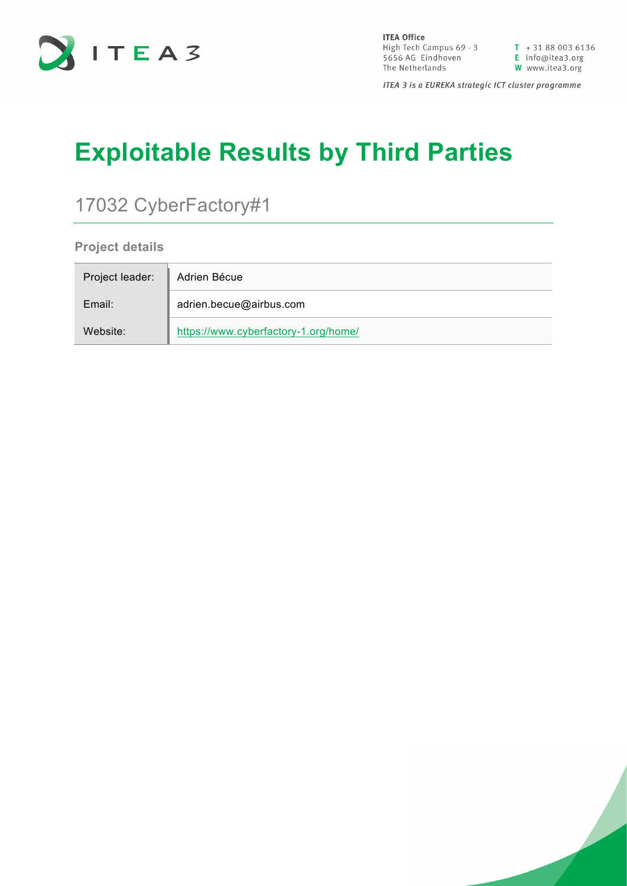

**ITEA Office ITEA Office**<br>
High Tech Campus 69 - 3<br>
5656 AG Eindhoven<br> **E** info@itea3.org<br>
The Netherlands<br> **W** www.itea3.org

 $T + 31880036136$ 

ITEA 3 is a EUREKA strategic ICT cluster programme

# **Exploitable Results by Third Parties**

## 17032 CyberFactory#1

**Project details**

| Project leader: | Adrien Bécue                         |
|-----------------|--------------------------------------|
| Email:          | adrien.becue@airbus.com              |
| Website:        | https://www.cyberfactory-1.org/home/ |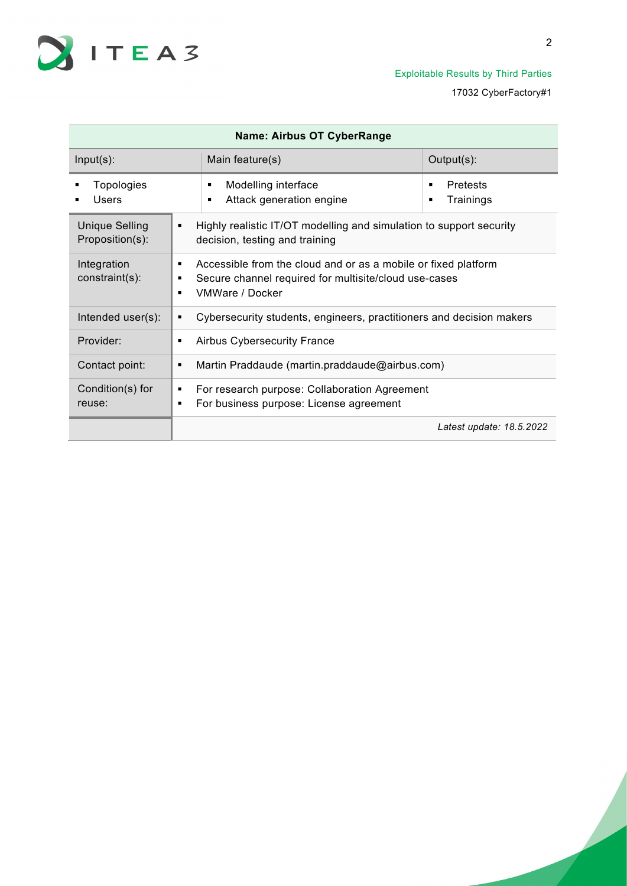

| <b>Name: Airbus OT CyberRange</b>        |                                                                                                                                                   |                                                                                                       |                            |  |
|------------------------------------------|---------------------------------------------------------------------------------------------------------------------------------------------------|-------------------------------------------------------------------------------------------------------|----------------------------|--|
| $Input(s)$ :                             |                                                                                                                                                   | Main feature(s)                                                                                       | Output(s):                 |  |
| Topologies<br>Users                      |                                                                                                                                                   | Modelling interface<br>٠<br>Attack generation engine<br>▪                                             | Pretests<br>٠<br>Trainings |  |
| <b>Unique Selling</b><br>Proposition(s): | ٠                                                                                                                                                 | Highly realistic IT/OT modelling and simulation to support security<br>decision, testing and training |                            |  |
| Integration<br>constraint(s):            | Accessible from the cloud and or as a mobile or fixed platform<br>Secure channel required for multisite/cloud use-cases<br><b>VMWare / Docker</b> |                                                                                                       |                            |  |
| Intended user(s):                        | ٠                                                                                                                                                 | Cybersecurity students, engineers, practitioners and decision makers                                  |                            |  |
| Provider:                                |                                                                                                                                                   | <b>Airbus Cybersecurity France</b>                                                                    |                            |  |
| Contact point:                           |                                                                                                                                                   | Martin Praddaude (martin.praddaude@airbus.com)                                                        |                            |  |
| Condition(s) for<br>reuse:               | ٠                                                                                                                                                 | For research purpose: Collaboration Agreement<br>For business purpose: License agreement              |                            |  |
|                                          |                                                                                                                                                   |                                                                                                       | Latest update: 18.5.2022   |  |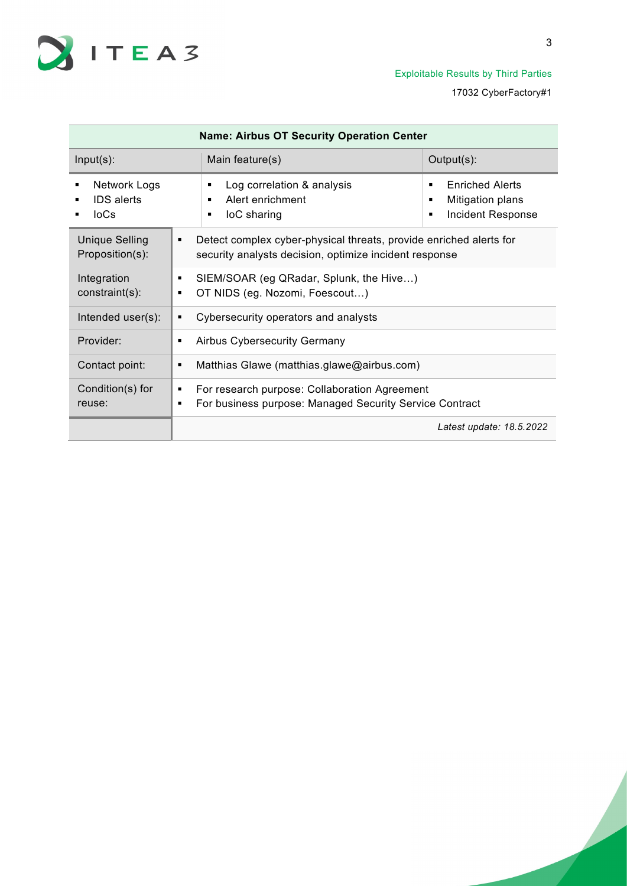

| <b>Name: Airbus OT Security Operation Center</b> |                                                                                                                                   |                                                                                |  |
|--------------------------------------------------|-----------------------------------------------------------------------------------------------------------------------------------|--------------------------------------------------------------------------------|--|
| $Input(s)$ :                                     | Main feature(s)                                                                                                                   | Output(s):                                                                     |  |
| Network Logs<br><b>IDS</b> alerts<br>$I_0C_S$    | Log correlation & analysis<br>٠<br>Alert enrichment<br>$\blacksquare$<br>loC sharing<br>٠                                         | <b>Enriched Alerts</b><br>٠<br>Mitigation plans<br>٠<br>Incident Response<br>٠ |  |
| <b>Unique Selling</b><br>Proposition(s):         | Detect complex cyber-physical threats, provide enriched alerts for<br>٠<br>security analysts decision, optimize incident response |                                                                                |  |
| Integration<br>constraint(s):                    | SIEM/SOAR (eg QRadar, Splunk, the Hive)<br>٠<br>OT NIDS (eg. Nozomi, Foescout)<br>٠                                               |                                                                                |  |
| Intended user(s):                                | Cybersecurity operators and analysts<br>٠                                                                                         |                                                                                |  |
| Provider:                                        | <b>Airbus Cybersecurity Germany</b><br>٠                                                                                          |                                                                                |  |
| Contact point:                                   | Matthias Glawe (matthias.glawe@airbus.com)<br>$\blacksquare$                                                                      |                                                                                |  |
| Condition(s) for<br>reuse:                       | For research purpose: Collaboration Agreement<br>٠<br>For business purpose: Managed Security Service Contract<br>٠                |                                                                                |  |
|                                                  |                                                                                                                                   | Latest update: 18.5.2022                                                       |  |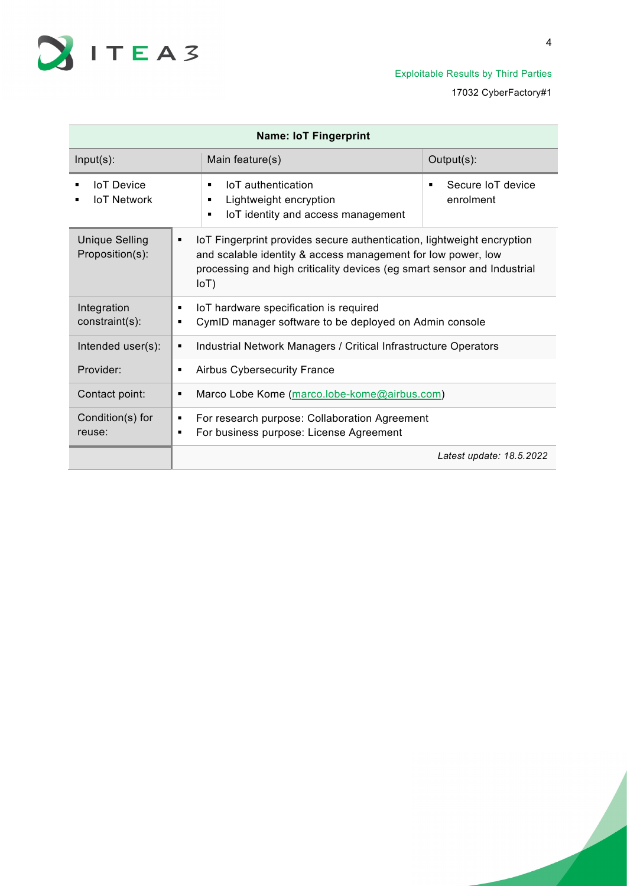

| <b>Name: IoT Fingerprint</b>             |                                                                                                                                                                                                                                       |                                     |  |  |
|------------------------------------------|---------------------------------------------------------------------------------------------------------------------------------------------------------------------------------------------------------------------------------------|-------------------------------------|--|--|
| $Input(s)$ :                             | Main feature(s)                                                                                                                                                                                                                       | Output(s):                          |  |  |
| <b>IoT</b> Device<br><b>IoT Network</b>  | <b>IoT</b> authentication<br>٠<br>Lightweight encryption<br>٠<br>IoT identity and access management<br>$\blacksquare$                                                                                                                 | Secure IoT device<br>٠<br>enrolment |  |  |
| <b>Unique Selling</b><br>Proposition(s): | IoT Fingerprint provides secure authentication, lightweight encryption<br>٠<br>and scalable identity & access management for low power, low<br>processing and high criticality devices (eg smart sensor and Industrial<br>$I \circ T$ |                                     |  |  |
| Integration<br>constraint(s):            | IoT hardware specification is required<br>CymID manager software to be deployed on Admin console                                                                                                                                      |                                     |  |  |
| Intended user(s):                        | Industrial Network Managers / Critical Infrastructure Operators<br>٠                                                                                                                                                                  |                                     |  |  |
| Provider:                                | <b>Airbus Cybersecurity France</b>                                                                                                                                                                                                    |                                     |  |  |
| Contact point:                           | Marco Lobe Kome (marco.lobe-kome@airbus.com)                                                                                                                                                                                          |                                     |  |  |
| Condition(s) for<br>reuse:               | For research purpose: Collaboration Agreement<br>٠<br>For business purpose: License Agreement<br>٠                                                                                                                                    |                                     |  |  |
|                                          |                                                                                                                                                                                                                                       | Latest update: 18.5.2022            |  |  |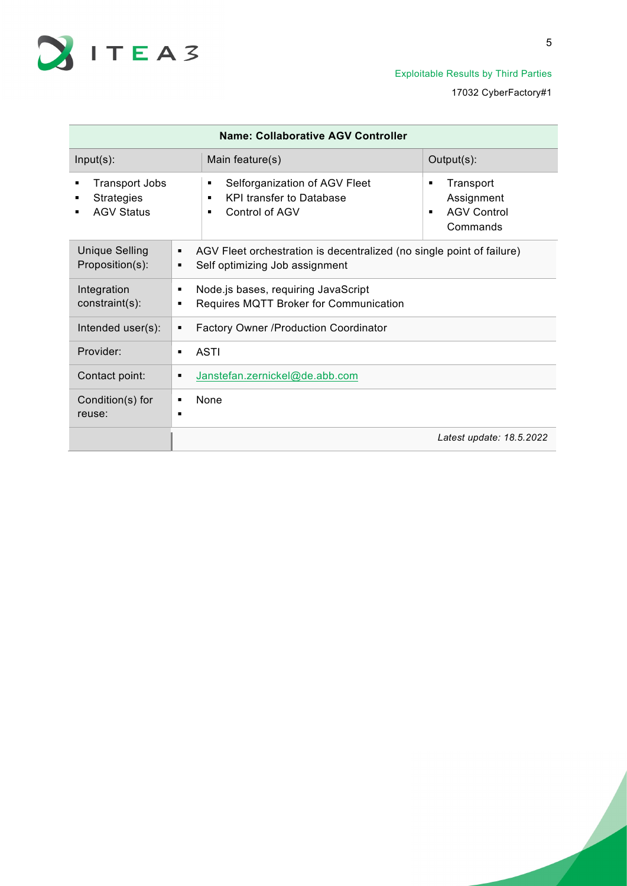

| Name: Collaborative AGV Controller                              |                                                                                                                                                                     |                          |  |  |  |
|-----------------------------------------------------------------|---------------------------------------------------------------------------------------------------------------------------------------------------------------------|--------------------------|--|--|--|
| $Input(s)$ :                                                    | Main feature(s)                                                                                                                                                     | Output(s):               |  |  |  |
| <b>Transport Jobs</b><br><b>Strategies</b><br><b>AGV Status</b> | Selforganization of AGV Fleet<br>Transport<br>٠<br>٠<br><b>KPI transfer to Database</b><br>Assignment<br>٠<br><b>AGV Control</b><br>Control of AGV<br>٠<br>Commands |                          |  |  |  |
| <b>Unique Selling</b><br>Proposition(s):                        | AGV Fleet orchestration is decentralized (no single point of failure)<br>٠<br>Self optimizing Job assignment<br>п                                                   |                          |  |  |  |
| Integration<br>constraint(s):                                   | Node is bases, requiring JavaScript<br>п<br>Requires MQTT Broker for Communication                                                                                  |                          |  |  |  |
| Intended user(s):                                               | <b>Factory Owner /Production Coordinator</b><br>٠                                                                                                                   |                          |  |  |  |
| Provider:                                                       | ASTI<br>п                                                                                                                                                           |                          |  |  |  |
| Contact point:                                                  | Janstefan.zernickel@de.abb.com<br>п                                                                                                                                 |                          |  |  |  |
| Condition(s) for<br>reuse:                                      | None<br>п<br>п                                                                                                                                                      |                          |  |  |  |
|                                                                 |                                                                                                                                                                     | Latest update: 18.5.2022 |  |  |  |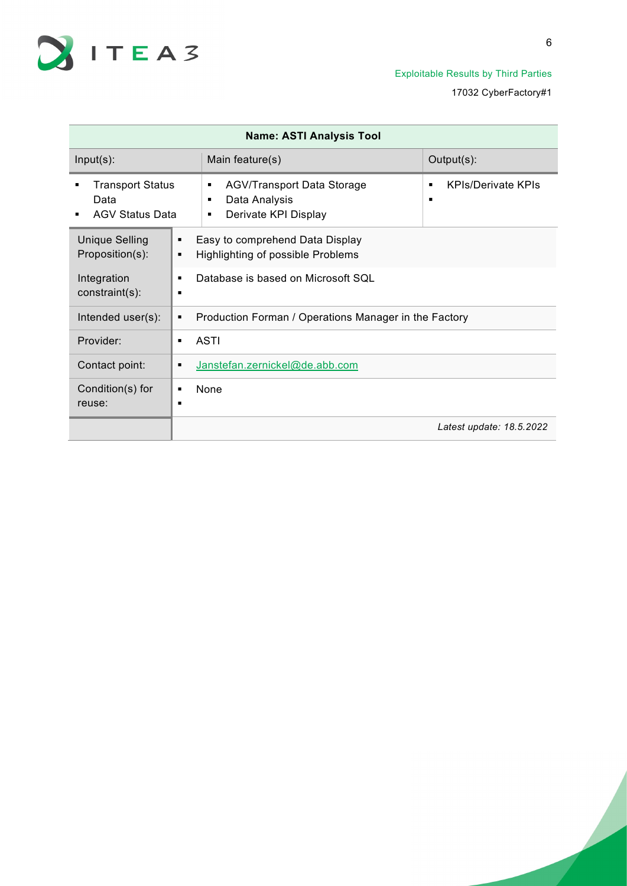

| <b>Name: ASTI Analysis Tool</b>                           |                                                                                           |                                |  |  |
|-----------------------------------------------------------|-------------------------------------------------------------------------------------------|--------------------------------|--|--|
| $Input(s)$ :                                              | Main feature(s)                                                                           | Output(s):                     |  |  |
| <b>Transport Status</b><br>Data<br><b>AGV Status Data</b> | <b>AGV/Transport Data Storage</b><br>٠<br>Data Analysis<br>٠<br>Derivate KPI Display<br>٠ | <b>KPIs/Derivate KPIs</b><br>п |  |  |
| <b>Unique Selling</b><br>Proposition(s):<br>٠             | Easy to comprehend Data Display<br>Highlighting of possible Problems                      |                                |  |  |
| Integration<br>constraint(s):                             | Database is based on Microsoft SOL                                                        |                                |  |  |
| Intended user(s):                                         | Production Forman / Operations Manager in the Factory                                     |                                |  |  |
| Provider:                                                 | ASTI                                                                                      |                                |  |  |
| Contact point:<br>٠                                       | Janstefan.zernickel@de.abb.com                                                            |                                |  |  |
| Condition(s) for<br>reuse:<br>п                           | None                                                                                      |                                |  |  |
|                                                           |                                                                                           | Latest update: 18.5.2022       |  |  |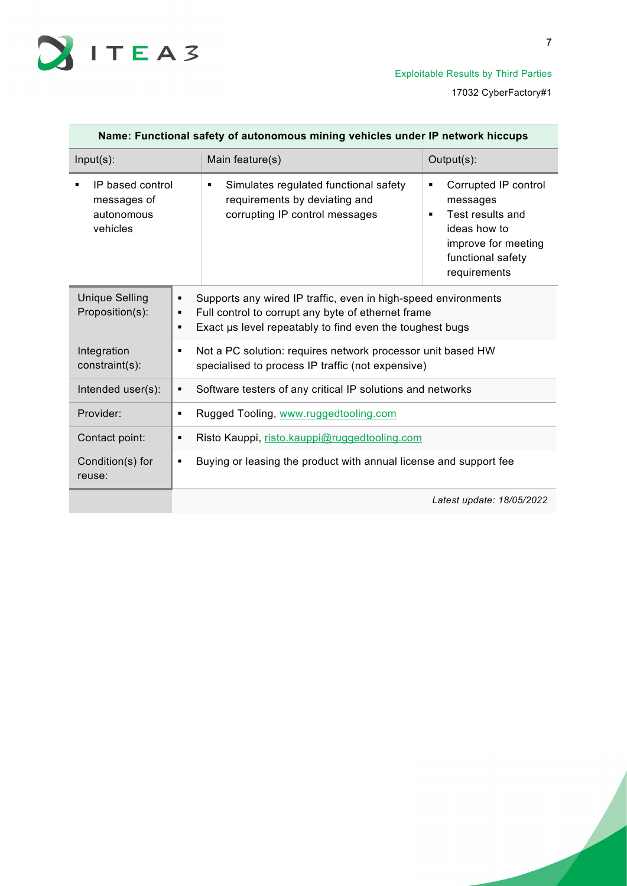

| Name: Functional safety of autonomous mining vehicles under IP network hiccups |                                                                                                                                    |                                                                                                                                                                                  |                                                                                                                                                         |
|--------------------------------------------------------------------------------|------------------------------------------------------------------------------------------------------------------------------------|----------------------------------------------------------------------------------------------------------------------------------------------------------------------------------|---------------------------------------------------------------------------------------------------------------------------------------------------------|
| $Input(s)$ :                                                                   |                                                                                                                                    | Main feature(s)                                                                                                                                                                  | Output(s):                                                                                                                                              |
| messages of<br>autonomous<br>vehicles                                          | IP based control<br>Simulates regulated functional safety<br>٠<br>requirements by deviating and<br>corrupting IP control messages  |                                                                                                                                                                                  | Corrupted IP control<br>٠<br>messages<br>Test results and<br>$\blacksquare$<br>ideas how to<br>improve for meeting<br>functional safety<br>requirements |
| <b>Unique Selling</b><br>Proposition(s):                                       | ٠<br>٠<br>٠                                                                                                                        | Supports any wired IP traffic, even in high-speed environments<br>Full control to corrupt any byte of ethernet frame<br>Exact us level repeatably to find even the toughest bugs |                                                                                                                                                         |
| Integration<br>constraint(s):                                                  | Not a PC solution: requires network processor unit based HW<br>$\blacksquare$<br>specialised to process IP traffic (not expensive) |                                                                                                                                                                                  |                                                                                                                                                         |
| Intended user(s):                                                              | Software testers of any critical IP solutions and networks<br>$\blacksquare$                                                       |                                                                                                                                                                                  |                                                                                                                                                         |
| Provider:                                                                      | Rugged Tooling, www.ruggedtooling.com<br>$\blacksquare$                                                                            |                                                                                                                                                                                  |                                                                                                                                                         |
| Contact point:                                                                 | Risto Kauppi, risto.kauppi@ruggedtooling.com<br>п                                                                                  |                                                                                                                                                                                  |                                                                                                                                                         |
| Condition(s) for<br>reuse:                                                     | Buying or leasing the product with annual license and support fee<br>٠                                                             |                                                                                                                                                                                  |                                                                                                                                                         |
|                                                                                |                                                                                                                                    |                                                                                                                                                                                  | Latest update: 18/05/2022                                                                                                                               |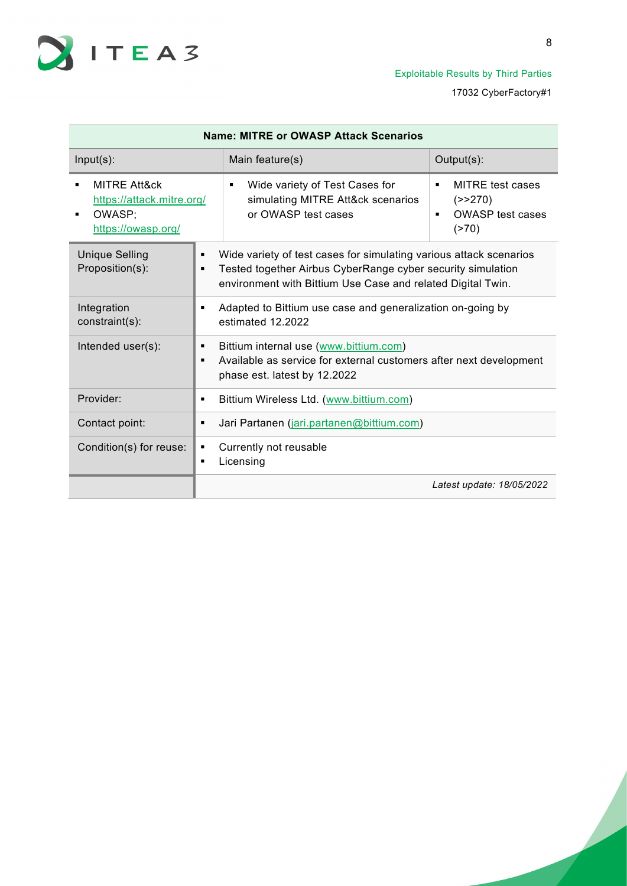

| <b>Name: MITRE or OWASP Attack Scenarios</b>                                         |                                                                                                                                                        |                                                                                                                                                                                                  |                                                                                               |
|--------------------------------------------------------------------------------------|--------------------------------------------------------------------------------------------------------------------------------------------------------|--------------------------------------------------------------------------------------------------------------------------------------------------------------------------------------------------|-----------------------------------------------------------------------------------------------|
| $Input(s)$ :                                                                         |                                                                                                                                                        | Main feature(s)                                                                                                                                                                                  | Output(s):                                                                                    |
| <b>MITRE Att&amp;ck</b><br>https://attack.mitre.org/<br>OWASP;<br>https://owasp.org/ |                                                                                                                                                        | Wide variety of Test Cases for<br>$\blacksquare$<br>simulating MITRE Att&ck scenarios<br>or OWASP test cases                                                                                     | <b>MITRE</b> test cases<br>٠<br>(>>270)<br><b>OWASP</b> test cases<br>$\blacksquare$<br>(270) |
| <b>Unique Selling</b><br>Proposition(s):                                             | ٠<br>٠                                                                                                                                                 | Wide variety of test cases for simulating various attack scenarios<br>Tested together Airbus CyberRange cyber security simulation<br>environment with Bittium Use Case and related Digital Twin. |                                                                                               |
| Integration<br>constraint(s):                                                        | Adapted to Bittium use case and generalization on-going by<br>٠<br>estimated 12.2022                                                                   |                                                                                                                                                                                                  |                                                                                               |
| Intended user(s):                                                                    | Bittium internal use (www.bittium.com)<br>٠<br>Available as service for external customers after next development<br>٠<br>phase est. latest by 12.2022 |                                                                                                                                                                                                  |                                                                                               |
| Provider:                                                                            | ٠                                                                                                                                                      | Bittium Wireless Ltd. (www.bittium.com)                                                                                                                                                          |                                                                                               |
| Contact point:                                                                       | Jari Partanen (jari.partanen@bittium.com)<br>٠                                                                                                         |                                                                                                                                                                                                  |                                                                                               |
| Condition(s) for reuse:                                                              | Currently not reusable<br>٠<br>Licensing<br>٠                                                                                                          |                                                                                                                                                                                                  |                                                                                               |
|                                                                                      |                                                                                                                                                        |                                                                                                                                                                                                  | Latest update: 18/05/2022                                                                     |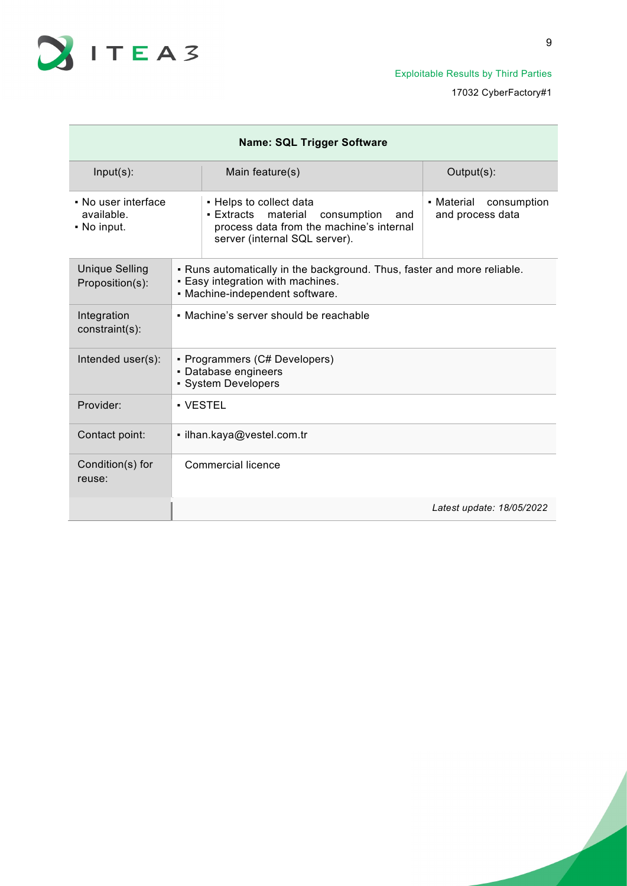

| <b>Name: SQL Trigger Software</b>                |                                                                                                                                                 |                                                                                                                                                      |                                               |  |
|--------------------------------------------------|-------------------------------------------------------------------------------------------------------------------------------------------------|------------------------------------------------------------------------------------------------------------------------------------------------------|-----------------------------------------------|--|
| $Input(s)$ :                                     |                                                                                                                                                 | Main feature(s)                                                                                                                                      | Output(s):                                    |  |
| • No user interface<br>available.<br>• No input. |                                                                                                                                                 | • Helps to collect data<br>material<br>▪ Extracts<br>consumption<br>and<br>process data from the machine's internal<br>server (internal SQL server). | • Material<br>consumption<br>and process data |  |
| <b>Unique Selling</b><br>Proposition(s):         | . Runs automatically in the background. Thus, faster and more reliable.<br>. Easy integration with machines.<br>• Machine-independent software. |                                                                                                                                                      |                                               |  |
| Integration<br>constraint(s):                    | • Machine's server should be reachable                                                                                                          |                                                                                                                                                      |                                               |  |
| Intended user(s):                                | • Programmers (C# Developers)<br>• Database engineers<br>• System Developers                                                                    |                                                                                                                                                      |                                               |  |
| Provider:                                        |                                                                                                                                                 | • VESTEL                                                                                                                                             |                                               |  |
| Contact point:                                   |                                                                                                                                                 | · ilhan.kaya@vestel.com.tr                                                                                                                           |                                               |  |
| Condition(s) for<br>reuse:                       |                                                                                                                                                 | Commercial licence                                                                                                                                   |                                               |  |
|                                                  |                                                                                                                                                 |                                                                                                                                                      | Latest update: 18/05/2022                     |  |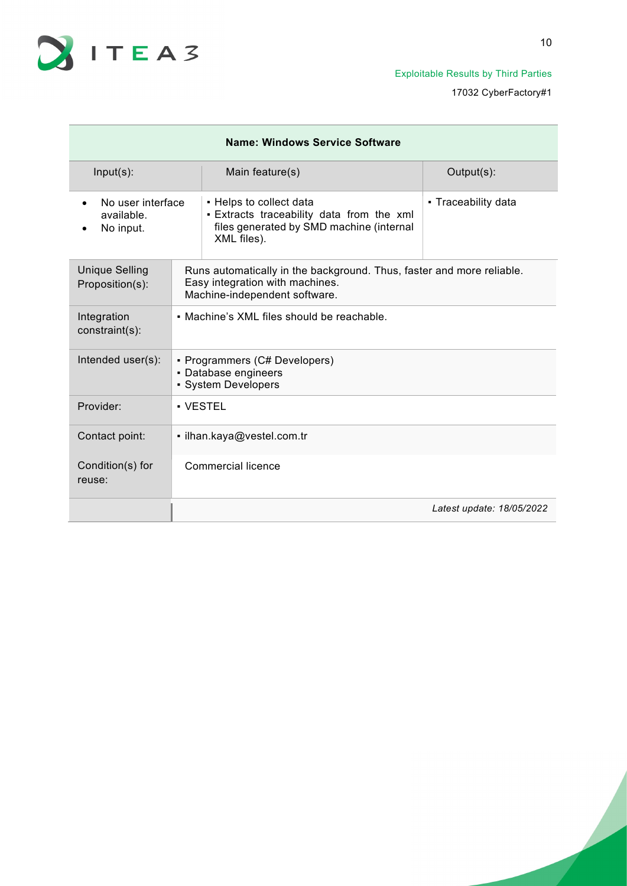

| Name: Windows Service Software               |                                                                                                                                           |                                                                                                                                 |                           |  |
|----------------------------------------------|-------------------------------------------------------------------------------------------------------------------------------------------|---------------------------------------------------------------------------------------------------------------------------------|---------------------------|--|
| $Input(s)$ :                                 |                                                                                                                                           | Main feature(s)                                                                                                                 | Output(s):                |  |
| No user interface<br>available.<br>No input. |                                                                                                                                           | • Helps to collect data<br>. Extracts traceability data from the xml<br>files generated by SMD machine (internal<br>XML files). | • Traceability data       |  |
| <b>Unique Selling</b><br>Proposition(s):     | Runs automatically in the background. Thus, faster and more reliable.<br>Easy integration with machines.<br>Machine-independent software. |                                                                                                                                 |                           |  |
| Integration<br>constraint(s):                | • Machine's XML files should be reachable.                                                                                                |                                                                                                                                 |                           |  |
| Intended user(s):                            | • Programmers (C# Developers)<br>• Database engineers<br>· System Developers                                                              |                                                                                                                                 |                           |  |
| Provider:                                    | • VESTEL                                                                                                                                  |                                                                                                                                 |                           |  |
| Contact point:                               | · ilhan.kaya@vestel.com.tr                                                                                                                |                                                                                                                                 |                           |  |
| Condition(s) for<br>reuse:                   | Commercial licence                                                                                                                        |                                                                                                                                 |                           |  |
|                                              |                                                                                                                                           |                                                                                                                                 | Latest update: 18/05/2022 |  |

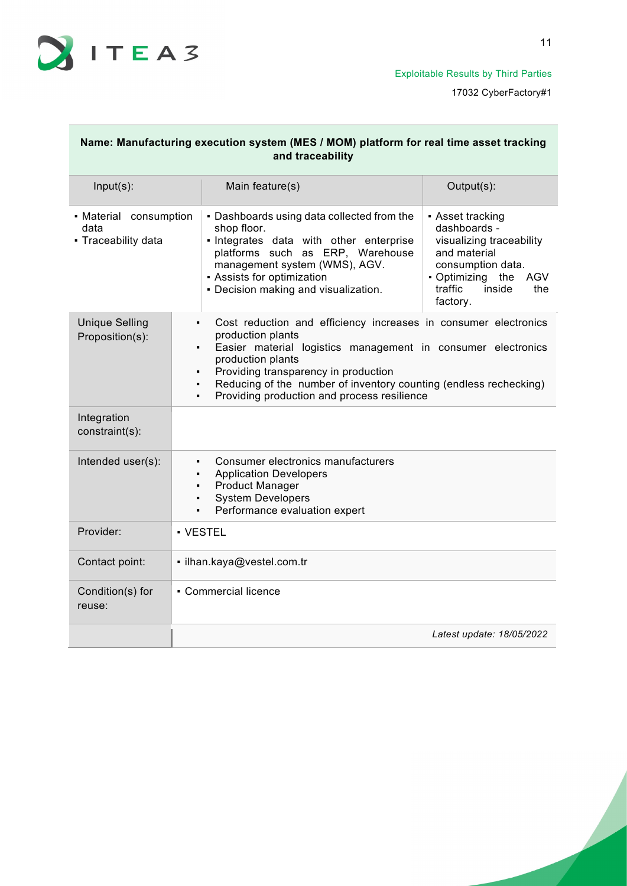

| Name: Manufacturing execution system (MES / MOM) platform for real time asset tracking<br>and traceability |                                                                                                                                                                                                                                                                                                                                                                                |                                                                                                                                                                                                                                                 |                                                                                                                                                                      |
|------------------------------------------------------------------------------------------------------------|--------------------------------------------------------------------------------------------------------------------------------------------------------------------------------------------------------------------------------------------------------------------------------------------------------------------------------------------------------------------------------|-------------------------------------------------------------------------------------------------------------------------------------------------------------------------------------------------------------------------------------------------|----------------------------------------------------------------------------------------------------------------------------------------------------------------------|
| $Input(s)$ :                                                                                               |                                                                                                                                                                                                                                                                                                                                                                                | Main feature(s)                                                                                                                                                                                                                                 | Output(s):                                                                                                                                                           |
| • Material consumption<br>data<br>• Traceability data                                                      |                                                                                                                                                                                                                                                                                                                                                                                | • Dashboards using data collected from the<br>shop floor.<br>· Integrates data with other enterprise<br>platforms such as ERP, Warehouse<br>management system (WMS), AGV.<br>• Assists for optimization<br>• Decision making and visualization. | • Asset tracking<br>dashboards -<br>visualizing traceability<br>and material<br>consumption data.<br>• Optimizing the<br>AGV<br>traffic<br>inside<br>the<br>factory. |
| <b>Unique Selling</b><br>Proposition(s):                                                                   | Cost reduction and efficiency increases in consumer electronics<br>$\blacksquare$<br>production plants<br>Easier material logistics management in consumer electronics<br>$\blacksquare$<br>production plants<br>Providing transparency in production<br>٠<br>Reducing of the number of inventory counting (endless rechecking)<br>Providing production and process resilience |                                                                                                                                                                                                                                                 |                                                                                                                                                                      |
| Integration<br>constraint(s):                                                                              |                                                                                                                                                                                                                                                                                                                                                                                |                                                                                                                                                                                                                                                 |                                                                                                                                                                      |
| Intended user(s):                                                                                          | Consumer electronics manufacturers<br>$\blacksquare$<br><b>Application Developers</b><br>٠<br><b>Product Manager</b><br>$\blacksquare$<br><b>System Developers</b><br>٠<br>Performance evaluation expert<br>$\blacksquare$                                                                                                                                                     |                                                                                                                                                                                                                                                 |                                                                                                                                                                      |
| Provider:                                                                                                  | · VESTEL                                                                                                                                                                                                                                                                                                                                                                       |                                                                                                                                                                                                                                                 |                                                                                                                                                                      |
| Contact point:                                                                                             | · ilhan.kaya@vestel.com.tr                                                                                                                                                                                                                                                                                                                                                     |                                                                                                                                                                                                                                                 |                                                                                                                                                                      |
| Condition(s) for<br>reuse:                                                                                 | • Commercial licence                                                                                                                                                                                                                                                                                                                                                           |                                                                                                                                                                                                                                                 |                                                                                                                                                                      |
|                                                                                                            |                                                                                                                                                                                                                                                                                                                                                                                |                                                                                                                                                                                                                                                 | Latest update: 18/05/2022                                                                                                                                            |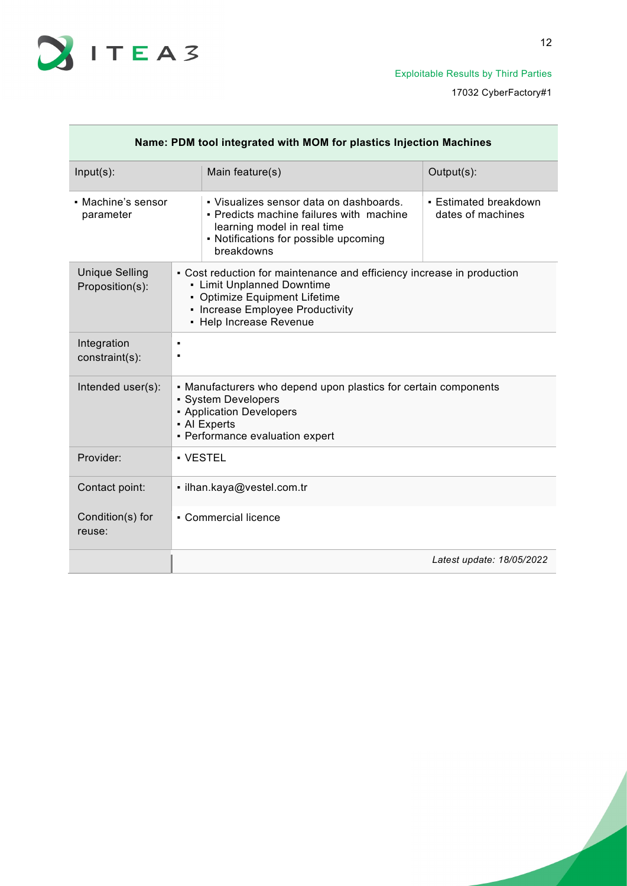

| Name: PDM tool integrated with MOM for plastics Injection Machines |  |                                                                                                                                                                                                                         |                           |
|--------------------------------------------------------------------|--|-------------------------------------------------------------------------------------------------------------------------------------------------------------------------------------------------------------------------|---------------------------|
| $Input(s)$ :                                                       |  | Main feature(s)                                                                                                                                                                                                         | Output(s):                |
| • Machine's sensor<br>parameter                                    |  | • Visualizes sensor data on dashboards.<br>• Estimated breakdown<br>dates of machines<br>• Predicts machine failures with machine<br>learning model in real time<br>• Notifications for possible upcoming<br>breakdowns |                           |
| <b>Unique Selling</b><br>Proposition(s):                           |  | • Cost reduction for maintenance and efficiency increase in production<br>• Limit Unplanned Downtime<br>• Optimize Equipment Lifetime<br>• Increase Employee Productivity<br>• Help Increase Revenue                    |                           |
| Integration<br>constraint(s):                                      |  |                                                                                                                                                                                                                         |                           |
| Intended user(s):                                                  |  | • Manufacturers who depend upon plastics for certain components<br>• System Developers<br>• Application Developers<br>• Al Experts<br>- Performance evaluation expert                                                   |                           |
| Provider:                                                          |  | • VESTEL                                                                                                                                                                                                                |                           |
| Contact point:                                                     |  | · ilhan.kaya@vestel.com.tr                                                                                                                                                                                              |                           |
| Condition(s) for<br>reuse:                                         |  | • Commercial licence                                                                                                                                                                                                    |                           |
|                                                                    |  |                                                                                                                                                                                                                         | Latest update: 18/05/2022 |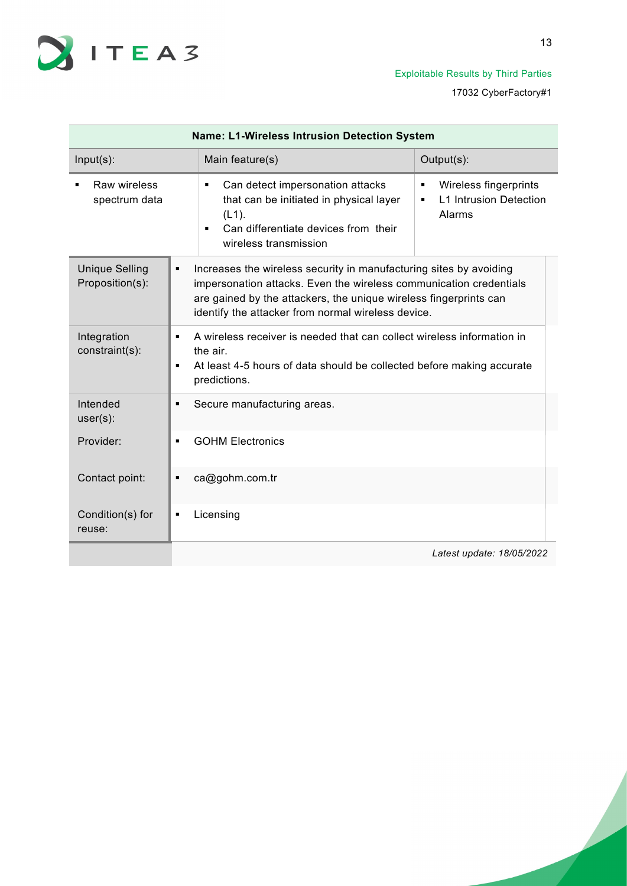

| Name: L1-Wireless Intrusion Detection System |                                                                                                                                                                                                                                                                     |                                                                            |  |  |
|----------------------------------------------|---------------------------------------------------------------------------------------------------------------------------------------------------------------------------------------------------------------------------------------------------------------------|----------------------------------------------------------------------------|--|--|
| $Input(s)$ :                                 | Main feature(s)                                                                                                                                                                                                                                                     | Output(s):                                                                 |  |  |
| Raw wireless<br>spectrum data                | Can detect impersonation attacks<br>٠<br>that can be initiated in physical layer<br>$(L1)$ .<br>Can differentiate devices from their<br>×,<br>wireless transmission                                                                                                 | Wireless fingerprints<br>٠<br><b>L1 Intrusion Detection</b><br>٠<br>Alarms |  |  |
| <b>Unique Selling</b><br>Proposition(s):     | Increases the wireless security in manufacturing sites by avoiding<br>impersonation attacks. Even the wireless communication credentials<br>are gained by the attackers, the unique wireless fingerprints can<br>identify the attacker from normal wireless device. |                                                                            |  |  |
| Integration<br>constraint(s):                | A wireless receiver is needed that can collect wireless information in<br>the air.<br>At least 4-5 hours of data should be collected before making accurate<br>predictions.                                                                                         |                                                                            |  |  |
| Intended<br>$user(s)$ :                      | Secure manufacturing areas.                                                                                                                                                                                                                                         |                                                                            |  |  |
| Provider:                                    | <b>GOHM Electronics</b>                                                                                                                                                                                                                                             |                                                                            |  |  |
| Contact point:                               | ca@gohm.com.tr                                                                                                                                                                                                                                                      |                                                                            |  |  |
| Condition(s) for<br>reuse:                   | Licensing                                                                                                                                                                                                                                                           |                                                                            |  |  |
|                                              | Latest update: 18/05/2022                                                                                                                                                                                                                                           |                                                                            |  |  |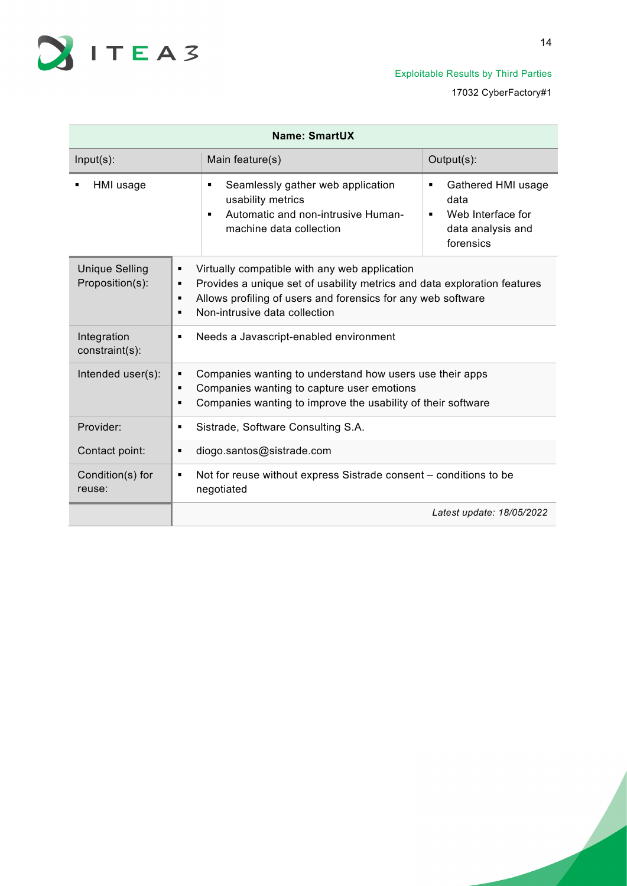

| Name: SmartUX                            |                                                                                                                                                                                                                                           |                                                                                                          |  |
|------------------------------------------|-------------------------------------------------------------------------------------------------------------------------------------------------------------------------------------------------------------------------------------------|----------------------------------------------------------------------------------------------------------|--|
| $Input(s)$ :                             | Main feature(s)                                                                                                                                                                                                                           | Output(s):                                                                                               |  |
| HMI usage                                | Seamlessly gather web application<br>٠<br>usability metrics<br>Automatic and non-intrusive Human-<br>$\blacksquare$<br>machine data collection                                                                                            | Gathered HMI usage<br>٠<br>data<br>Web Interface for<br>$\blacksquare$<br>data analysis and<br>forensics |  |
| <b>Unique Selling</b><br>Proposition(s): | Virtually compatible with any web application<br>٠<br>Provides a unique set of usability metrics and data exploration features<br>٠<br>Allows profiling of users and forensics for any web software<br>٠<br>Non-intrusive data collection |                                                                                                          |  |
| Integration<br>constraint(s):            | Needs a Javascript-enabled environment<br>٠                                                                                                                                                                                               |                                                                                                          |  |
| Intended user(s):                        | Companies wanting to understand how users use their apps<br>٠<br>Companies wanting to capture user emotions<br>▪<br>Companies wanting to improve the usability of their software                                                          |                                                                                                          |  |
| Provider:                                | Sistrade, Software Consulting S.A.<br>٠                                                                                                                                                                                                   |                                                                                                          |  |
| Contact point:                           | diogo.santos@sistrade.com<br>$\blacksquare$                                                                                                                                                                                               |                                                                                                          |  |
| Condition(s) for<br>reuse:               | Not for reuse without express Sistrade consent – conditions to be<br>٠<br>negotiated                                                                                                                                                      |                                                                                                          |  |
|                                          |                                                                                                                                                                                                                                           | Latest update: 18/05/2022                                                                                |  |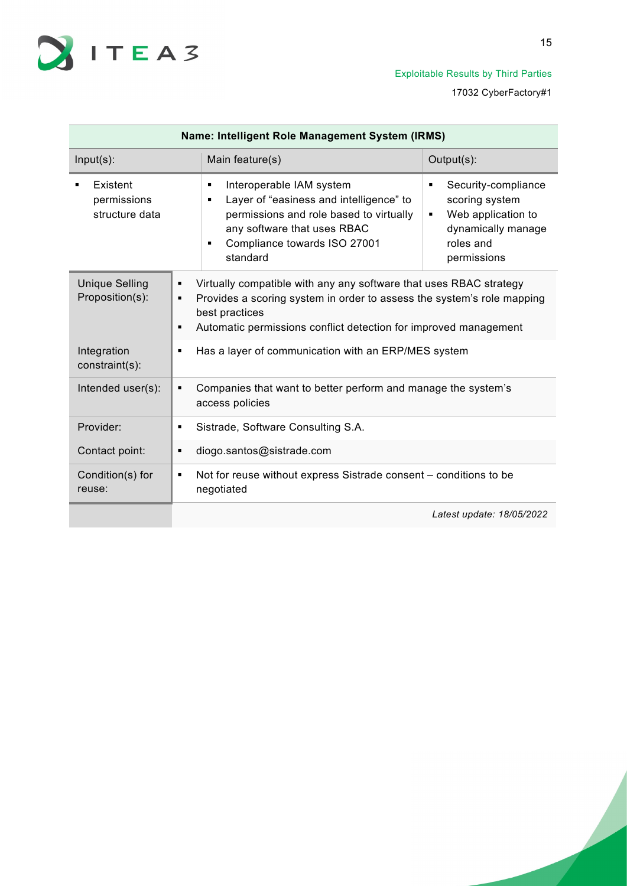

| Name: Intelligent Role Management System (IRMS) |                                                                                       |                                                                                                                                                                                                                                    |                                                                                                                         |  |
|-------------------------------------------------|---------------------------------------------------------------------------------------|------------------------------------------------------------------------------------------------------------------------------------------------------------------------------------------------------------------------------------|-------------------------------------------------------------------------------------------------------------------------|--|
| $Input(s)$ :                                    |                                                                                       | Main feature(s)                                                                                                                                                                                                                    | Output(s):                                                                                                              |  |
| Existent<br>permissions<br>structure data       |                                                                                       | Interoperable IAM system<br>٠<br>Layer of "easiness and intelligence" to<br>٠<br>permissions and role based to virtually<br>any software that uses RBAC<br>Compliance towards ISO 27001<br>٠<br>standard                           | Security-compliance<br>٠<br>scoring system<br>Web application to<br>٠<br>dynamically manage<br>roles and<br>permissions |  |
| <b>Unique Selling</b><br>Proposition(s):        | п<br>п                                                                                | Virtually compatible with any any software that uses RBAC strategy<br>Provides a scoring system in order to assess the system's role mapping<br>best practices<br>Automatic permissions conflict detection for improved management |                                                                                                                         |  |
| Integration<br>constraint(s):                   | Has a layer of communication with an ERP/MES system                                   |                                                                                                                                                                                                                                    |                                                                                                                         |  |
| Intended user(s):                               | Companies that want to better perform and manage the system's<br>٠<br>access policies |                                                                                                                                                                                                                                    |                                                                                                                         |  |
| Provider:                                       | Sistrade, Software Consulting S.A.<br>٠                                               |                                                                                                                                                                                                                                    |                                                                                                                         |  |
| Contact point:                                  | diogo.santos@sistrade.com<br>٠                                                        |                                                                                                                                                                                                                                    |                                                                                                                         |  |
| Condition(s) for<br>reuse:                      | ٠                                                                                     | Not for reuse without express Sistrade consent – conditions to be<br>negotiated                                                                                                                                                    |                                                                                                                         |  |
|                                                 |                                                                                       |                                                                                                                                                                                                                                    | Latest update: 18/05/2022                                                                                               |  |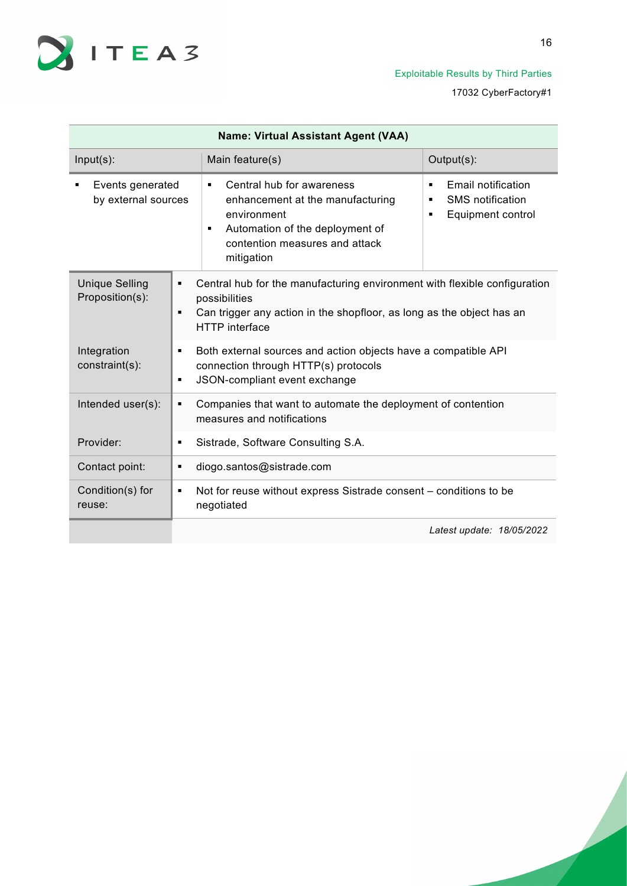

| <b>Name: Virtual Assistant Agent (VAA)</b> |                                                                                                                                                                                                     |                                                                                                                                                    |  |  |
|--------------------------------------------|-----------------------------------------------------------------------------------------------------------------------------------------------------------------------------------------------------|----------------------------------------------------------------------------------------------------------------------------------------------------|--|--|
| $Input(s)$ :                               | Main feature(s)                                                                                                                                                                                     | Output(s):                                                                                                                                         |  |  |
| Events generated<br>by external sources    | Central hub for awareness<br>$\blacksquare$<br>enhancement at the manufacturing<br>environment<br>Automation of the deployment of<br>$\blacksquare$<br>contention measures and attack<br>mitigation | Email notification<br>٠<br><b>SMS</b> notification<br>Ξ<br>Equipment control                                                                       |  |  |
| <b>Unique Selling</b><br>Proposition(s):   | ٠<br>possibilities<br>٠<br><b>HTTP</b> interface                                                                                                                                                    | Central hub for the manufacturing environment with flexible configuration<br>Can trigger any action in the shopfloor, as long as the object has an |  |  |
| Integration<br>constraint(s):              | Both external sources and action objects have a compatible API<br>connection through HTTP(s) protocols<br>JSON-compliant event exchange                                                             |                                                                                                                                                    |  |  |
| Intended user(s):                          | Companies that want to automate the deployment of contention<br>٠<br>measures and notifications                                                                                                     |                                                                                                                                                    |  |  |
| Provider:                                  | Sistrade, Software Consulting S.A.<br>×,                                                                                                                                                            |                                                                                                                                                    |  |  |
| Contact point:                             | diogo.santos@sistrade.com<br>٠                                                                                                                                                                      |                                                                                                                                                    |  |  |
| Condition(s) for<br>reuse:                 | Not for reuse without express Sistrade consent – conditions to be<br>٠<br>negotiated                                                                                                                |                                                                                                                                                    |  |  |
|                                            |                                                                                                                                                                                                     | Latest update: 18/05/2022                                                                                                                          |  |  |